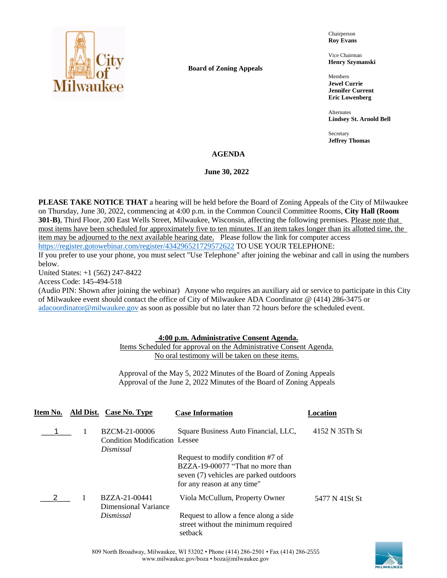

**Board of Zoning Appeals**

Chairperson **Roy Evans**

Vice Chairman **Henry Szymanski**

Members **Jewel Currie Jennifer Current Eric Lowenberg**

Alternates **Lindsey St. Arnold Bell**

Secretary **Jeffrey Thomas**

### **AGENDA**

**June 30, 2022** 

**PLEASE TAKE NOTICE THAT** a hearing will be held before the Board of Zoning Appeals of the City of Milwaukee on Thursday, June 30, 2022, commencing at 4:00 p.m. in the Common Council Committee Rooms, **City Hall (Room 301-B)**, Third Floor, 200 East Wells Street, Milwaukee, Wisconsin, affecting the following premises. Please note that most items have been scheduled for approximately five to ten minutes. If an item takes longer than its allotted time, the item may be adjourned to the next available hearing date. Please follow the link for computer access <https://register.gotowebinar.com/register/434296521729572622> TO USE YOUR TELEPHONE:

If you prefer to use your phone, you must select "Use Telephone" after joining the webinar and call in using the numbers below.

United States: +1 (562) 247-8422

Access Code: 145-494-518

(Audio PIN: Shown after joining the webinar) Anyone who requires an auxiliary aid or service to participate in this City of Milwaukee event should contact the office of City of Milwaukee ADA Coordinator @ (414) 286-3475 or [adacoordinator@milwaukee.gov](mailto:adacoordinator@milwaukee.gov) as soon as possible but no later than 72 hours before the scheduled event.

## **4:00 p.m. Administrative Consent Agenda.**

Items Scheduled for approval on the Administrative Consent Agenda. No oral testimony will be taken on these items.

Approval of the May 5, 2022 Minutes of the Board of Zoning Appeals Approval of the June 2, 2022 Minutes of the Board of Zoning Appeals

|  | Item No. Ald Dist. Case No. Type                                   | <b>Case Information</b>                                                                                                                        | Location       |
|--|--------------------------------------------------------------------|------------------------------------------------------------------------------------------------------------------------------------------------|----------------|
|  | BZCM-21-00006<br><b>Condition Modification Lessee</b><br>Dismissal | Square Business Auto Financial, LLC,                                                                                                           | 4152 N 35Th St |
|  |                                                                    | Request to modify condition #7 of<br>BZZA-19-00077 "That no more than<br>seven (7) vehicles are parked outdoors<br>for any reason at any time" |                |
|  | BZZA-21-00441<br>Dimensional Variance                              | Viola McCullum, Property Owner                                                                                                                 | 5477 N 41St St |
|  | Dismissal                                                          | Request to allow a fence along a side.<br>street without the minimum required<br>setback                                                       |                |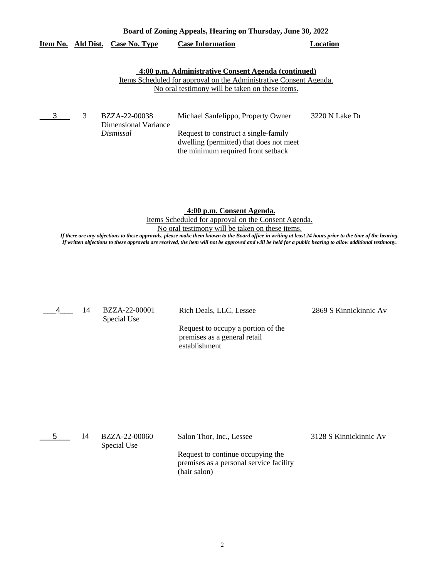|  |                                  | Board of Zoning Appeals, Hearing on Thursday, June 30, 2022        |          |
|--|----------------------------------|--------------------------------------------------------------------|----------|
|  | Item No. Ald Dist. Case No. Type | <b>Case Information</b>                                            | Location |
|  |                                  |                                                                    |          |
|  |                                  | 4:00 p.m. Administrative Consent Agenda (continued)                |          |
|  |                                  | Items Scheduled for approval on the Administrative Consent Agenda. |          |
|  |                                  | No oral testimony will be taken on these items.                    |          |
|  |                                  |                                                                    |          |
|  |                                  |                                                                    |          |

|  | BZZA-22-00038        | Michael Sanfelippo, Property Owner      | 3220 N Lake Dr |
|--|----------------------|-----------------------------------------|----------------|
|  | Dimensional Variance |                                         |                |
|  | Dismissal            | Request to construct a single-family    |                |
|  |                      | dwelling (permitted) that does not meet |                |
|  |                      | the minimum required front setback      |                |

**4:00 p.m. Consent Agenda.**

Items Scheduled for approval on the Consent Agenda.

No oral testimony will be taken on these items.

*If there are any objections to these approvals, please make them known to the Board office in writing at least 24 hours prior to the time of the hearing. If written objections to these approvals are received, the item will not be approved and will be held for a public hearing to allow additional testimony.*

\_\_\_4\_\_\_ 14

Special Use

BZZA-22-00001 Rich Deals, LLC, Lessee 2869 S Kinnickinnic Av

Request to occupy a portion of the premises as a general retail establishment

| 14 | BZZA-22-00060<br>Special Use | Salon Thor, Inc., Lessee                                                                     | 3128 S Kinnickinnic Av |
|----|------------------------------|----------------------------------------------------------------------------------------------|------------------------|
|    |                              | Request to continue occupying the<br>premises as a personal service facility<br>(hair salon) |                        |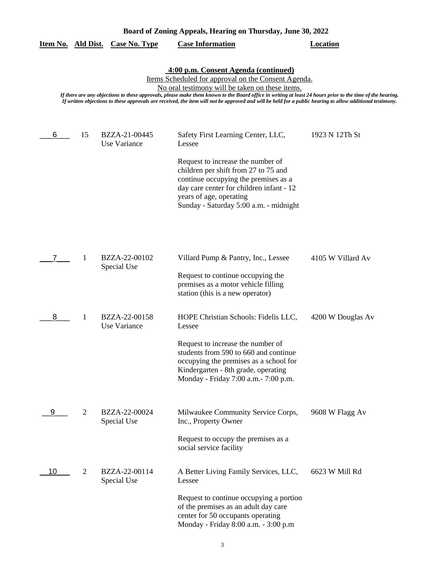| Board of Zoning Appeals, Hearing on Thursday, June 30, 2022 |
|-------------------------------------------------------------|
|-------------------------------------------------------------|

|    |                | <u>Item No. Ald Dist. Case No. Type</u> | <b>Case Information</b>                                                                                                                                                                                                                                                                                                                                                   | <b>Location</b>   |
|----|----------------|-----------------------------------------|---------------------------------------------------------------------------------------------------------------------------------------------------------------------------------------------------------------------------------------------------------------------------------------------------------------------------------------------------------------------------|-------------------|
|    |                |                                         |                                                                                                                                                                                                                                                                                                                                                                           |                   |
|    |                |                                         | 4:00 p.m. Consent Agenda (continued)<br>Items Scheduled for approval on the Consent Agenda.                                                                                                                                                                                                                                                                               |                   |
|    |                |                                         | No oral testimony will be taken on these items.<br>If there are any objections to these approvals, please make them known to the Board office in writing at least 24 hours prior to the time of the hearing.<br>If written objections to these approvals are received, the item will not be approved and will be held for a public hearing to allow additional testimony. |                   |
| 6  | 15             | BZZA-21-00445<br>Use Variance           | Safety First Learning Center, LLC,<br>Lessee                                                                                                                                                                                                                                                                                                                              | 1923 N 12Th St    |
|    |                |                                         | Request to increase the number of<br>children per shift from 27 to 75 and<br>continue occupying the premises as a<br>day care center for children infant - 12<br>years of age, operating<br>Sunday - Saturday 5:00 a.m. - midnight                                                                                                                                        |                   |
|    | 1              | BZZA-22-00102<br>Special Use            | Villard Pump & Pantry, Inc., Lessee<br>Request to continue occupying the                                                                                                                                                                                                                                                                                                  | 4105 W Villard Av |
| 8  | -1             | BZZA-22-00158<br>Use Variance           | premises as a motor vehicle filling<br>station (this is a new operator)<br>HOPE Christian Schools: Fidelis LLC,<br>Lessee                                                                                                                                                                                                                                                 | 4200 W Douglas Av |
|    |                |                                         | Request to increase the number of<br>students from 590 to 660 and continue<br>occupying the premises as a school for<br>Kindergarten - 8th grade, operating<br>Monday - Friday 7:00 a.m. - 7:00 p.m.                                                                                                                                                                      |                   |
| 9  | $\overline{2}$ | BZZA-22-00024<br>Special Use            | Milwaukee Community Service Corps,<br>Inc., Property Owner                                                                                                                                                                                                                                                                                                                | 9608 W Flagg Av   |
|    |                |                                         | Request to occupy the premises as a<br>social service facility                                                                                                                                                                                                                                                                                                            |                   |
| 10 | 2              | BZZA-22-00114<br>Special Use            | A Better Living Family Services, LLC,<br>Lessee                                                                                                                                                                                                                                                                                                                           | 6623 W Mill Rd    |
|    |                |                                         | Request to continue occupying a portion<br>of the premises as an adult day care<br>center for 50 occupants operating<br>Monday - Friday 8:00 a.m. - 3:00 p.m                                                                                                                                                                                                              |                   |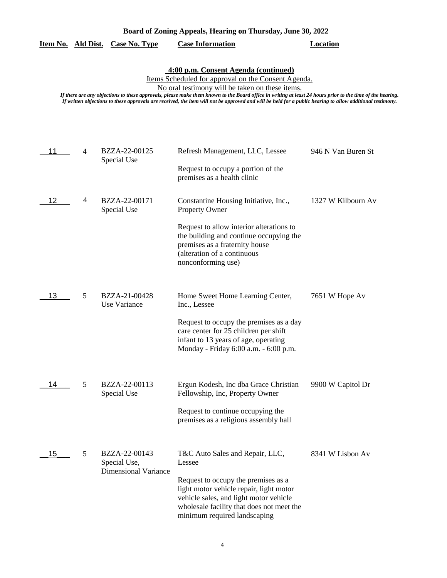**4:00 p.m. Consent Agenda (continued)**

Items Scheduled for approval on the Consent Agenda.

No oral testimony will be taken on these items.

*If there are any objections to these approvals, please make them known to the Board office in writing at least 24 hours prior to the time of the hearing. If written objections to these approvals are received, the item will not be approved and will be held for a public hearing to allow additional testimony.*

| 11 | 4 | BZZA-22-00125<br>Special Use                                 | Refresh Management, LLC, Lessee<br>Request to occupy a portion of the<br>premises as a health clinic                                                                                                                                               | 946 N Van Buren St |
|----|---|--------------------------------------------------------------|----------------------------------------------------------------------------------------------------------------------------------------------------------------------------------------------------------------------------------------------------|--------------------|
| 12 | 4 | BZZA-22-00171<br>Special Use                                 | Constantine Housing Initiative, Inc.,<br>Property Owner<br>Request to allow interior alterations to<br>the building and continue occupying the<br>premises as a fraternity house<br>(alteration of a continuous<br>nonconforming use)              | 1327 W Kilbourn Av |
| 13 | 5 | BZZA-21-00428<br>Use Variance                                | Home Sweet Home Learning Center,<br>Inc., Lessee<br>Request to occupy the premises as a day<br>care center for 25 children per shift<br>infant to 13 years of age, operating<br>Monday - Friday 6:00 a.m. - 6:00 p.m.                              | 7651 W Hope Av     |
| 14 | 5 | BZZA-22-00113<br>Special Use                                 | Ergun Kodesh, Inc dba Grace Christian<br>Fellowship, Inc, Property Owner<br>Request to continue occupying the<br>premises as a religious assembly hall                                                                                             | 9900 W Capitol Dr  |
| 15 | 5 | BZZA-22-00143<br>Special Use,<br><b>Dimensional Variance</b> | T&C Auto Sales and Repair, LLC,<br>Lessee<br>Request to occupy the premises as a<br>light motor vehicle repair, light motor<br>vehicle sales, and light motor vehicle<br>wholesale facility that does not meet the<br>minimum required landscaping | 8341 W Lisbon Av   |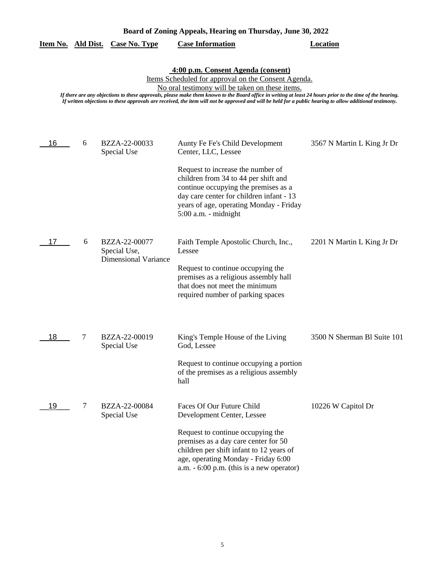|    |   | <u>Item No. Ald Dist. Case No. Type</u>                      | <b>Case Information</b>                                                                                                                                                                                                                                                                                                                                                                                                                                                | <b>Location</b>             |
|----|---|--------------------------------------------------------------|------------------------------------------------------------------------------------------------------------------------------------------------------------------------------------------------------------------------------------------------------------------------------------------------------------------------------------------------------------------------------------------------------------------------------------------------------------------------|-----------------------------|
|    |   |                                                              | 4:00 p.m. Consent Agenda (consent)<br>Items Scheduled for approval on the Consent Agenda.<br>No oral testimony will be taken on these items.<br>If there are any objections to these approvals, please make them known to the Board office in writing at least 24 hours prior to the time of the hearing.<br>If written objections to these approvals are received, the item will not be approved and will be held for a public hearing to allow additional testimony. |                             |
| 16 | 6 | BZZA-22-00033<br>Special Use                                 | Aunty Fe Fe's Child Development<br>Center, LLC, Lessee<br>Request to increase the number of<br>children from 34 to 44 per shift and<br>continue occupying the premises as a<br>day care center for children infant - 13<br>years of age, operating Monday - Friday<br>$5:00$ a.m. - midnight                                                                                                                                                                           | 3567 N Martin L King Jr Dr  |
| 17 | 6 | BZZA-22-00077<br>Special Use,<br><b>Dimensional Variance</b> | Faith Temple Apostolic Church, Inc.,<br>Lessee<br>Request to continue occupying the<br>premises as a religious assembly hall<br>that does not meet the minimum<br>required number of parking spaces                                                                                                                                                                                                                                                                    | 2201 N Martin L King Jr Dr  |
| 18 | 7 | BZZA-22-00019<br>Special Use                                 | King's Temple House of the Living<br>God, Lessee<br>Request to continue occupying a portion<br>of the premises as a religious assembly<br>hall                                                                                                                                                                                                                                                                                                                         | 3500 N Sherman Bl Suite 101 |
| 19 | 7 | BZZA-22-00084<br>Special Use                                 | Faces Of Our Future Child<br>Development Center, Lessee<br>Request to continue occupying the<br>premises as a day care center for 50<br>children per shift infant to 12 years of<br>age, operating Monday - Friday 6:00<br>a.m. $-6:00$ p.m. (this is a new operator)                                                                                                                                                                                                  | 10226 W Capitol Dr          |

5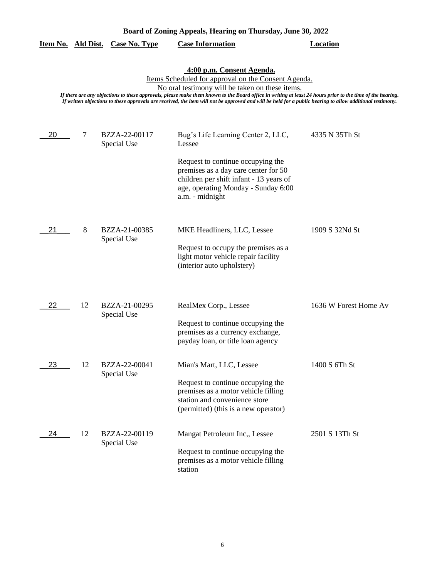|    |    |                              | 4:00 p.m. Consent Agenda.<br>Items Scheduled for approval on the Consent Agenda.<br>No oral testimony will be taken on these items.<br>If there are any objections to these approvals, please make them known to the Board office in writing at least 24 hours prior to the time of the hearing.<br>If written objections to these approvals are received, the item will not be approved and will be held for a public hearing to allow additional testimony. |                       |
|----|----|------------------------------|---------------------------------------------------------------------------------------------------------------------------------------------------------------------------------------------------------------------------------------------------------------------------------------------------------------------------------------------------------------------------------------------------------------------------------------------------------------|-----------------------|
| 20 | 7  | BZZA-22-00117<br>Special Use | Bug's Life Learning Center 2, LLC,<br>Lessee<br>Request to continue occupying the<br>premises as a day care center for 50<br>children per shift infant - 13 years of<br>age, operating Monday - Sunday 6:00                                                                                                                                                                                                                                                   | 4335 N 35Th St        |
| 21 | 8  | BZZA-21-00385<br>Special Use | a.m. - midnight<br>MKE Headliners, LLC, Lessee<br>Request to occupy the premises as a<br>light motor vehicle repair facility<br>(interior auto upholstery)                                                                                                                                                                                                                                                                                                    | 1909 S 32Nd St        |
| 22 | 12 | BZZA-21-00295<br>Special Use | RealMex Corp., Lessee<br>Request to continue occupying the<br>premises as a currency exchange,<br>payday loan, or title loan agency                                                                                                                                                                                                                                                                                                                           | 1636 W Forest Home Av |
| 23 | 12 | BZZA-22-00041<br>Special Use | Mian's Mart, LLC, Lessee<br>Request to continue occupying the<br>premises as a motor vehicle filling<br>station and convenience store<br>(permitted) (this is a new operator)                                                                                                                                                                                                                                                                                 | 1400 S 6Th St         |
| 24 | 12 | BZZA-22-00119<br>Special Use | Mangat Petroleum Inc., Lessee<br>Request to continue occupying the<br>premises as a motor vehicle filling<br>station                                                                                                                                                                                                                                                                                                                                          | 2501 S 13Th St        |

**Item No. Ald Dist. Case No. Type Case Information Location**

6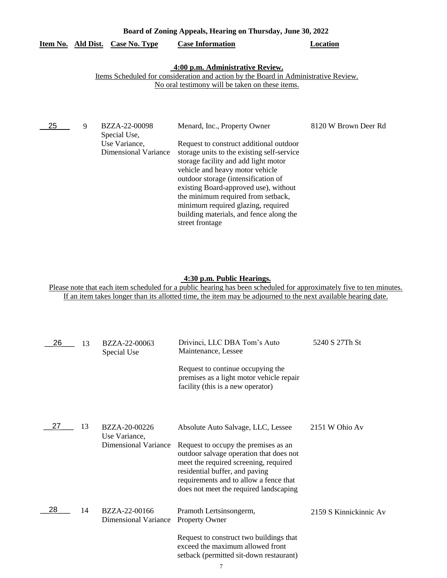# **Item No. Ald Dist. Case No. Type Case Information Location**

#### **4:00 p.m. Administrative Review.**

#### Items Scheduled for consideration and action by the Board in Administrative Review. No oral testimony will be taken on these items.

| 25 | 9 | BZZA-22-00098<br>Special Use,                | Menard, Inc., Property Owner                                                                                                                                                                                                                                                                                                                                                               | 8120 W Brown Deer Rd |
|----|---|----------------------------------------------|--------------------------------------------------------------------------------------------------------------------------------------------------------------------------------------------------------------------------------------------------------------------------------------------------------------------------------------------------------------------------------------------|----------------------|
|    |   | Use Variance,<br><b>Dimensional Variance</b> | Request to construct additional outdoor<br>storage units to the existing self-service<br>storage facility and add light motor<br>vehicle and heavy motor vehicle<br>outdoor storage (intensification of<br>existing Board-approved use), without<br>the minimum required from setback,<br>minimum required glazing, required<br>building materials, and fence along the<br>street frontage |                      |

#### **4:30 p.m. Public Hearings.**

Please note that each item scheduled for a public hearing has been scheduled for approximately five to ten minutes. If an item takes longer than its allotted time, the item may be adjourned to the next available hearing date.

| 26 | 13 | BZZA-22-00063<br>Special Use                 | Drivinci, LLC DBA Tom's Auto<br>Maintenance, Lessee                                                                                                                                                                                            | 5240 S 27Th St         |
|----|----|----------------------------------------------|------------------------------------------------------------------------------------------------------------------------------------------------------------------------------------------------------------------------------------------------|------------------------|
|    |    |                                              | Request to continue occupying the<br>premises as a light motor vehicle repair<br>facility (this is a new operator)                                                                                                                             |                        |
| 27 | 13 | BZZA-20-00226<br>Use Variance,               | Absolute Auto Salvage, LLC, Lessee                                                                                                                                                                                                             | 2151 W Ohio Av         |
|    |    | <b>Dimensional Variance</b>                  | Request to occupy the premises as an<br>outdoor salvage operation that does not<br>meet the required screening, required<br>residential buffer, and paving<br>requirements and to allow a fence that<br>does not meet the required landscaping |                        |
| 28 | 14 | BZZA-22-00166<br><b>Dimensional Variance</b> | Pramoth Lertsinsongerm,<br><b>Property Owner</b>                                                                                                                                                                                               | 2159 S Kinnickinnic Av |
|    |    |                                              | Request to construct two buildings that<br>exceed the maximum allowed front<br>setback (permitted sit-down restaurant)                                                                                                                         |                        |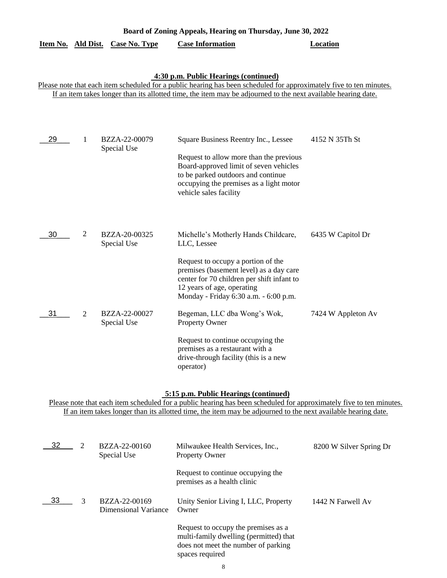| Item No. Ald Dist. |                | <b>Case No. Type</b>         | <b>Case Information</b>                                                                                                                                                                                                                                                       | Location           |
|--------------------|----------------|------------------------------|-------------------------------------------------------------------------------------------------------------------------------------------------------------------------------------------------------------------------------------------------------------------------------|--------------------|
|                    |                |                              | 4:30 p.m. Public Hearings (continued)<br>Please note that each item scheduled for a public hearing has been scheduled for approximately five to ten minutes.<br>If an item takes longer than its allotted time, the item may be adjourned to the next available hearing date. |                    |
| 29                 | 1              | BZZA-22-00079<br>Special Use | Square Business Reentry Inc., Lessee<br>Request to allow more than the previous<br>Board-approved limit of seven vehicles<br>to be parked outdoors and continue<br>occupying the premises as a light motor<br>vehicle sales facility                                          | 4152 N 35Th St     |
| 30                 | 2              | BZZA-20-00325<br>Special Use | Michelle's Motherly Hands Childcare,<br>LLC, Lessee<br>Request to occupy a portion of the<br>premises (basement level) as a day care<br>center for 70 children per shift infant to<br>12 years of age, operating<br>Monday - Friday 6:30 a.m. - 6:00 p.m.                     | 6435 W Capitol Dr  |
| 31                 | $\overline{2}$ | BZZA-22-00027<br>Special Use | Begeman, LLC dba Wong's Wok,<br>Property Owner<br>Request to continue occupying the<br>premises as a restaurant with a<br>drive-through facility (this is a new<br>operator)                                                                                                  | 7424 W Appleton Av |

## **5:15 p.m. Public Hearings (continued)**

Please note that each item scheduled for a public hearing has been scheduled for approximately five to ten minutes. If an item takes longer than its allotted time, the item may be adjourned to the next available hearing date.

| -32 | 2 | BZZA-22-00160<br>Special Use          | Milwaukee Health Services, Inc.,<br><b>Property Owner</b>                                                                               | 8200 W Silver Spring Dr |
|-----|---|---------------------------------------|-----------------------------------------------------------------------------------------------------------------------------------------|-------------------------|
|     |   |                                       | Request to continue occupying the<br>premises as a health clinic                                                                        |                         |
| 33  | 3 | BZZA-22-00169<br>Dimensional Variance | Unity Senior Living I, LLC, Property<br>Owner                                                                                           | 1442 N Farwell Av       |
|     |   |                                       | Request to occupy the premises as a<br>multi-family dwelling (permitted) that<br>does not meet the number of parking<br>spaces required |                         |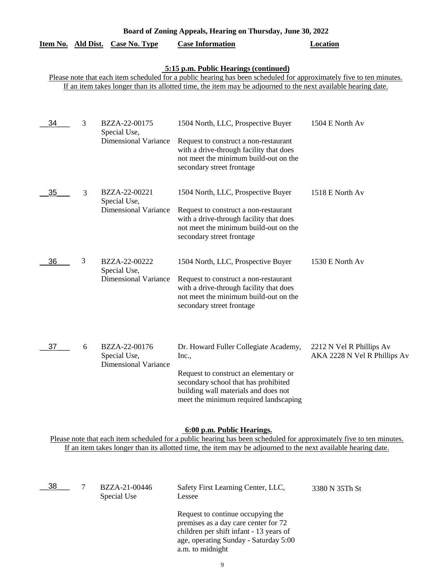|                                                                                                                                                                                                                                                                               |   | <u>Item No. Ald Dist. Case No. Type</u>                      | <b>Case Information</b>                                                                                                                                                                                          | <b>Location</b>                                          |  |
|-------------------------------------------------------------------------------------------------------------------------------------------------------------------------------------------------------------------------------------------------------------------------------|---|--------------------------------------------------------------|------------------------------------------------------------------------------------------------------------------------------------------------------------------------------------------------------------------|----------------------------------------------------------|--|
| 5:15 p.m. Public Hearings (continued)<br>Please note that each item scheduled for a public hearing has been scheduled for approximately five to ten minutes.<br>If an item takes longer than its allotted time, the item may be adjourned to the next available hearing date. |   |                                                              |                                                                                                                                                                                                                  |                                                          |  |
| 34                                                                                                                                                                                                                                                                            | 3 | BZZA-22-00175<br>Special Use,<br><b>Dimensional Variance</b> | 1504 North, LLC, Prospective Buyer<br>Request to construct a non-restaurant<br>with a drive-through facility that does<br>not meet the minimum build-out on the<br>secondary street frontage                     | 1504 E North Av                                          |  |
| 35                                                                                                                                                                                                                                                                            | 3 | BZZA-22-00221<br>Special Use,<br><b>Dimensional Variance</b> | 1504 North, LLC, Prospective Buyer<br>Request to construct a non-restaurant<br>with a drive-through facility that does<br>not meet the minimum build-out on the<br>secondary street frontage                     | 1518 E North Av                                          |  |
| 36                                                                                                                                                                                                                                                                            | 3 | BZZA-22-00222<br>Special Use,<br><b>Dimensional Variance</b> | 1504 North, LLC, Prospective Buyer<br>Request to construct a non-restaurant<br>with a drive-through facility that does<br>not meet the minimum build-out on the<br>secondary street frontage                     | 1530 E North Av                                          |  |
| 37                                                                                                                                                                                                                                                                            | 6 | BZZA-22-00176<br>Special Use,<br><b>Dimensional Variance</b> | Dr. Howard Fuller Collegiate Academy,<br>Inc.,<br>Request to construct an elementary or<br>secondary school that has prohibited<br>building wall materials and does not<br>meet the minimum required landscaping | 2212 N Vel R Phillips Av<br>AKA 2228 N Vel R Phillips Av |  |
| 6:00 p.m. Public Hearings.<br>Please note that each item scheduled for a public hearing has been scheduled for approximately five to ten minutes.<br>If an item takes longer than its allotted time, the item may be adjourned to the next available hearing date.            |   |                                                              |                                                                                                                                                                                                                  |                                                          |  |
| 38                                                                                                                                                                                                                                                                            | 7 | BZZA-21-00446                                                | Safety First Learning Center, LLC,                                                                                                                                                                               | 3380 N 35Th St                                           |  |

Lessee Request to continue occupying the premises as a day care center for 72 children per shift infant - 13 years of

age, operating Sunday - Saturday 5:00

9

a.m. to midnight

Special Use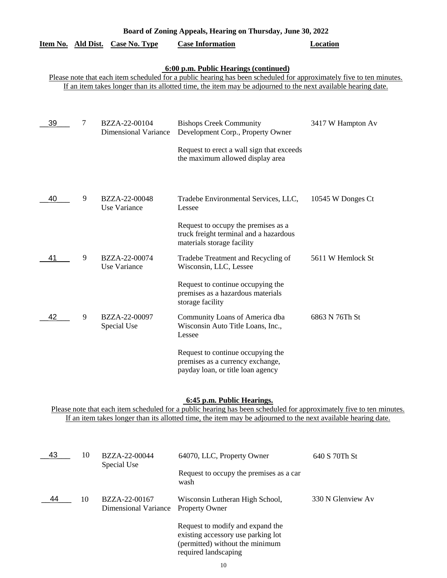| Board of Zoning Appeals, Hearing on Thursday, June 30, 2022                                                                                                                                                                                                                   |   |                                              |                                                                                                             |                   |  |
|-------------------------------------------------------------------------------------------------------------------------------------------------------------------------------------------------------------------------------------------------------------------------------|---|----------------------------------------------|-------------------------------------------------------------------------------------------------------------|-------------------|--|
|                                                                                                                                                                                                                                                                               |   | Item No. Ald Dist. Case No. Type             | <b>Case Information</b>                                                                                     | <b>Location</b>   |  |
| 6:00 p.m. Public Hearings (continued)<br>Please note that each item scheduled for a public hearing has been scheduled for approximately five to ten minutes.<br>If an item takes longer than its allotted time, the item may be adjourned to the next available hearing date. |   |                                              |                                                                                                             |                   |  |
| 39                                                                                                                                                                                                                                                                            | 7 | BZZA-22-00104<br><b>Dimensional Variance</b> | <b>Bishops Creek Community</b><br>Development Corp., Property Owner                                         | 3417 W Hampton Av |  |
|                                                                                                                                                                                                                                                                               |   |                                              | Request to erect a wall sign that exceeds<br>the maximum allowed display area                               |                   |  |
| 40                                                                                                                                                                                                                                                                            | 9 | BZZA-22-00048<br>Use Variance                | Tradebe Environmental Services, LLC,<br>Lessee                                                              | 10545 W Donges Ct |  |
|                                                                                                                                                                                                                                                                               |   |                                              | Request to occupy the premises as a<br>truck freight terminal and a hazardous<br>materials storage facility |                   |  |
| 41                                                                                                                                                                                                                                                                            | 9 | BZZA-22-00074<br>Use Variance                | Tradebe Treatment and Recycling of<br>Wisconsin, LLC, Lessee                                                | 5611 W Hemlock St |  |
|                                                                                                                                                                                                                                                                               |   |                                              | Request to continue occupying the<br>premises as a hazardous materials<br>storage facility                  |                   |  |
| 42                                                                                                                                                                                                                                                                            | 9 | BZZA-22-00097<br>Special Use                 | Community Loans of America dba<br>Wisconsin Auto Title Loans, Inc.,<br>Lessee                               | 6863 N 76Th St    |  |
|                                                                                                                                                                                                                                                                               |   |                                              | Request to continue occupying the<br>premises as a currency exchange,<br>payday loan, or title loan agency  |                   |  |

#### **6:45 p.m. Public Hearings.**

Please note that each item scheduled for a public hearing has been scheduled for approximately five to ten minutes. If an item takes longer than its allotted time, the item may be adjourned to the next available hearing date.

| 43 | 10 | BZZA-22-00044<br>Special Use          | 64070, LLC, Property Owner                                                                                                        | 640 S 70Th St     |
|----|----|---------------------------------------|-----------------------------------------------------------------------------------------------------------------------------------|-------------------|
|    |    |                                       | Request to occupy the premises as a car<br>wash                                                                                   |                   |
| 44 | 10 | BZZA-22-00167<br>Dimensional Variance | Wisconsin Lutheran High School,<br><b>Property Owner</b>                                                                          | 330 N Glenview Av |
|    |    |                                       | Request to modify and expand the<br>existing accessory use parking lot<br>(permitted) without the minimum<br>required landscaping |                   |